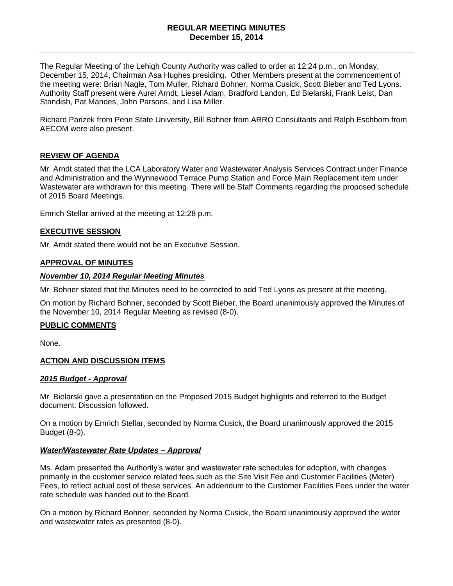#### **REGULAR MEETING MINUTES December 15, 2014**

The Regular Meeting of the Lehigh County Authority was called to order at 12:24 p.m., on Monday, December 15, 2014, Chairman Asa Hughes presiding. Other Members present at the commencement of the meeting were: Brian Nagle, Tom Muller, Richard Bohner, Norma Cusick, Scott Bieber and Ted Lyons. Authority Staff present were Aurel Arndt, Liesel Adam, Bradford Landon, Ed Bielarski, Frank Leist, Dan Standish, Pat Mandes, John Parsons, and Lisa Miller.

Richard Parizek from Penn State University, Bill Bohner from ARRO Consultants and Ralph Eschborn from AECOM were also present.

# **REVIEW OF AGENDA**

Mr. Arndt stated that the LCA Laboratory Water and Wastewater Analysis Services Contract under Finance and Administration and the Wynnewood Terrace Pump Station and Force Main Replacement item under Wastewater are withdrawn for this meeting. There will be Staff Comments regarding the proposed schedule of 2015 Board Meetings.

Emrich Stellar arrived at the meeting at 12:28 p.m.

# **EXECUTIVE SESSION**

Mr. Arndt stated there would not be an Executive Session.

### **APPROVAL OF MINUTES**

#### *November 10, 2014 Regular Meeting Minutes*

Mr. Bohner stated that the Minutes need to be corrected to add Ted Lyons as present at the meeting.

On motion by Richard Bohner, seconded by Scott Bieber, the Board unanimously approved the Minutes of the November 10, 2014 Regular Meeting as revised (8-0).

### **PUBLIC COMMENTS**

None.

### **ACTION AND DISCUSSION ITEMS**

### *2015 Budget - Approval*

Mr. Bielarski gave a presentation on the Proposed 2015 Budget highlights and referred to the Budget document. Discussion followed.

On a motion by Emrich Stellar, seconded by Norma Cusick, the Board unanimously approved the 2015 Budget (8-0).

### *Water/Wastewater Rate Updates – Approval*

Ms. Adam presented the Authority's water and wastewater rate schedules for adoption, with changes primarily in the customer service related fees such as the Site Visit Fee and Customer Facilities (Meter) Fees, to reflect actual cost of these services. An addendum to the Customer Facilities Fees under the water rate schedule was handed out to the Board.

On a motion by Richard Bohner, seconded by Norma Cusick, the Board unanimously approved the water and wastewater rates as presented (8-0).